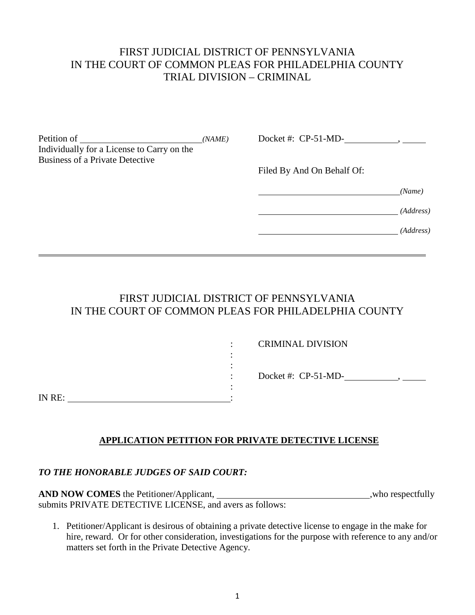#### FIRST JUDICIAL DISTRICT OF PENNSYLVANIA IN THE COURT OF COMMON PLEAS FOR PHILADELPHIA COUNTY TRIAL DIVISION – CRIMINAL

| Petition of                                | (NAME) | Docket #: $CP-51-MD-$      |           |
|--------------------------------------------|--------|----------------------------|-----------|
| Individually for a License to Carry on the |        |                            |           |
| <b>Business of a Private Detective</b>     |        |                            |           |
|                                            |        | Filed By And On Behalf Of: |           |
|                                            |        |                            | (Name)    |
|                                            |        |                            | (Address) |
|                                            |        |                            | (Address) |
|                                            |        |                            |           |

#### FIRST JUDICIAL DISTRICT OF PENNSYLVANIA IN THE COURT OF COMMON PLEAS FOR PHILADELPHIA COUNTY

|        |   | <b>CRIMINAL DIVISION</b> |
|--------|---|--------------------------|
|        |   |                          |
|        |   |                          |
|        | ٠ | Docket #: $CP-51-MD-$    |
|        |   |                          |
| IN RE: |   |                          |

#### **APPLICATION PETITION FOR PRIVATE DETECTIVE LICENSE**

#### *TO THE HONORABLE JUDGES OF SAID COURT:*

**AND NOW COMES** the Petitioner/Applicant, ,who respectfully submits PRIVATE DETECTIVE LICENSE, and avers as follows:

1. Petitioner/Applicant is desirous of obtaining a private detective license to engage in the make for hire, reward. Or for other consideration, investigations for the purpose with reference to any and/or matters set forth in the Private Detective Agency.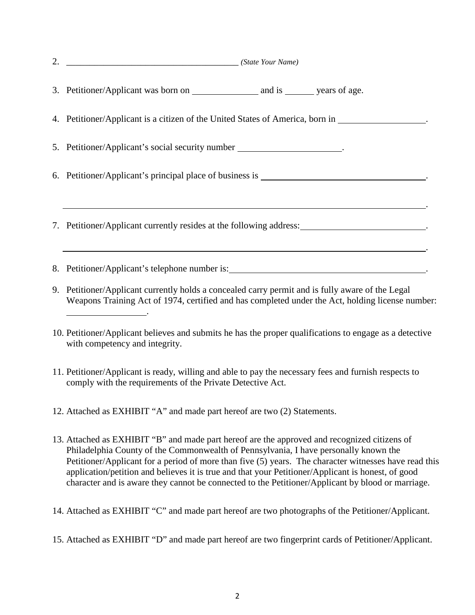| 2. | (State Your Name)                                                                                                                                                                                                                                                                                                                                                                                                                                                                                        |
|----|----------------------------------------------------------------------------------------------------------------------------------------------------------------------------------------------------------------------------------------------------------------------------------------------------------------------------------------------------------------------------------------------------------------------------------------------------------------------------------------------------------|
|    |                                                                                                                                                                                                                                                                                                                                                                                                                                                                                                          |
|    | 4. Petitioner/Applicant is a citizen of the United States of America, born in 1986.                                                                                                                                                                                                                                                                                                                                                                                                                      |
|    | 5. Petitioner/Applicant's social security number _______________________.                                                                                                                                                                                                                                                                                                                                                                                                                                |
|    |                                                                                                                                                                                                                                                                                                                                                                                                                                                                                                          |
|    | 7. Petitioner/Applicant currently resides at the following address: ________________________.<br>,我们也不会有什么。""我们的人,我们也不会有什么?""我们的人,我们也不会有什么?""我们的人,我们也不会有什么?""我们的人,我们也不会有什么?""我们的人                                                                                                                                                                                                                                                                                                                        |
|    |                                                                                                                                                                                                                                                                                                                                                                                                                                                                                                          |
|    | 9. Petitioner/Applicant currently holds a concealed carry permit and is fully aware of the Legal<br>Weapons Training Act of 1974, certified and has completed under the Act, holding license number:<br><u> 1989 - Johann Stone, amerikansk politiker (</u>                                                                                                                                                                                                                                              |
|    | 10. Petitioner/Applicant believes and submits he has the proper qualifications to engage as a detective<br>with competency and integrity.                                                                                                                                                                                                                                                                                                                                                                |
|    | 11. Petitioner/Applicant is ready, willing and able to pay the necessary fees and furnish respects to<br>comply with the requirements of the Private Detective Act.                                                                                                                                                                                                                                                                                                                                      |
|    | 12. Attached as EXHIBIT "A" and made part hereof are two (2) Statements.                                                                                                                                                                                                                                                                                                                                                                                                                                 |
|    | 13. Attached as EXHIBIT "B" and made part hereof are the approved and recognized citizens of<br>Philadelphia County of the Commonwealth of Pennsylvania, I have personally known the<br>Petitioner/Applicant for a period of more than five (5) years. The character witnesses have read this<br>application/petition and believes it is true and that your Petitioner/Applicant is honest, of good<br>character and is aware they cannot be connected to the Petitioner/Applicant by blood or marriage. |

14. Attached as EXHIBIT "C" and made part hereof are two photographs of the Petitioner/Applicant.

15. Attached as EXHIBIT "D" and made part hereof are two fingerprint cards of Petitioner/Applicant.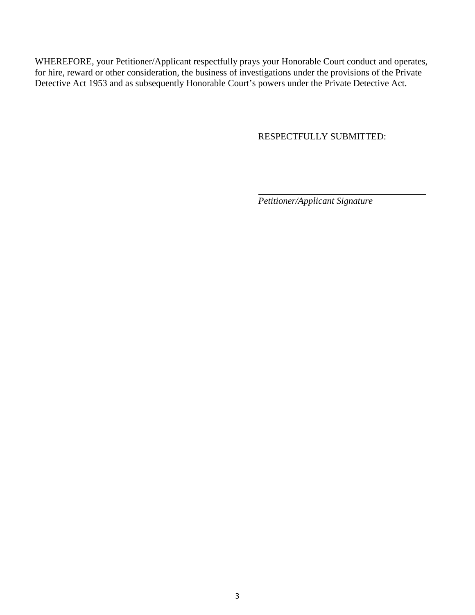WHEREFORE, your Petitioner/Applicant respectfully prays your Honorable Court conduct and operates, for hire, reward or other consideration, the business of investigations under the provisions of the Private Detective Act 1953 and as subsequently Honorable Court's powers under the Private Detective Act.

RESPECTFULLY SUBMITTED:

*Petitioner/Applicant Signature*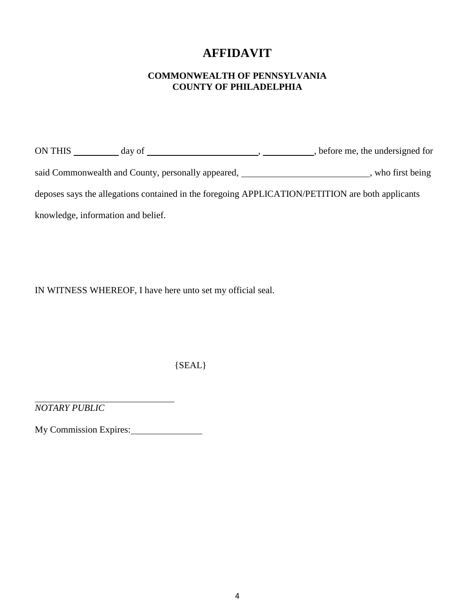### **AFFIDAVIT**

#### **COMMONWEALTH OF PENNSYLVANIA COUNTY OF PHILADELPHIA**

ON THIS day of , , before me, the undersigned for said Commonwealth and County, personally appeared, \_\_\_\_\_\_\_\_\_\_\_\_\_\_\_\_\_\_\_\_\_\_\_, who first being deposes says the allegations contained in the foregoing APPLICATION/PETITION are both applicants knowledge, information and belief.

IN WITNESS WHEREOF, I have here unto set my official seal.

{SEAL}

*NOTARY PUBLIC*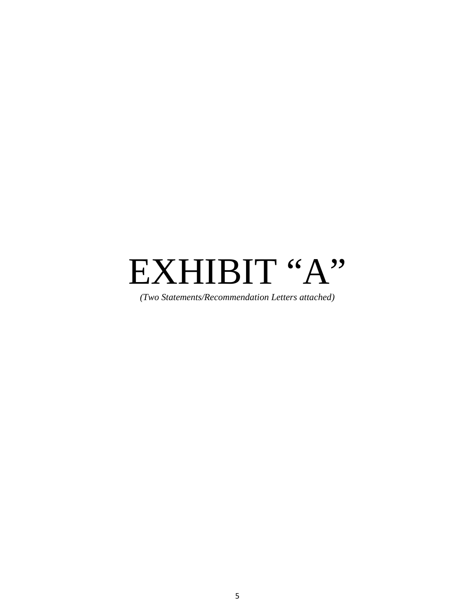*(Two Statements/Recommendation Letters attached)*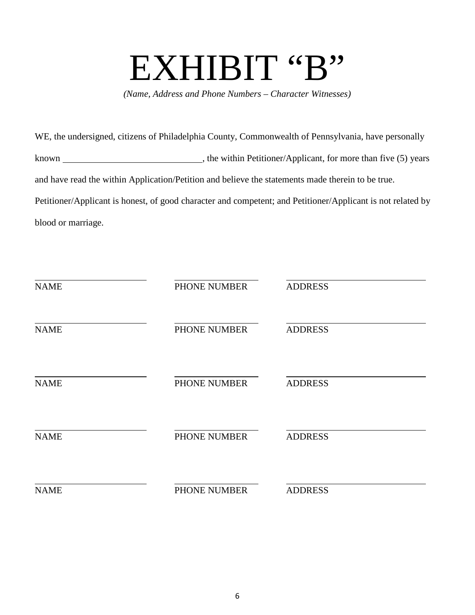*(Name, Address and Phone Numbers – Character Witnesses)*

WE, the undersigned, citizens of Philadelphia County, Commonwealth of Pennsylvania, have personally known , the within Petitioner/Applicant, for more than five (5) years and have read the within Application/Petition and believe the statements made therein to be true. Petitioner/Applicant is honest, of good character and competent; and Petitioner/Applicant is not related by blood or marriage.

| <b>NAME</b> | PHONE NUMBER | <b>ADDRESS</b> |
|-------------|--------------|----------------|
| <b>NAME</b> | PHONE NUMBER | <b>ADDRESS</b> |
| <b>NAME</b> | PHONE NUMBER | <b>ADDRESS</b> |
| <b>NAME</b> | PHONE NUMBER | <b>ADDRESS</b> |
| <b>NAME</b> | PHONE NUMBER | <b>ADDRESS</b> |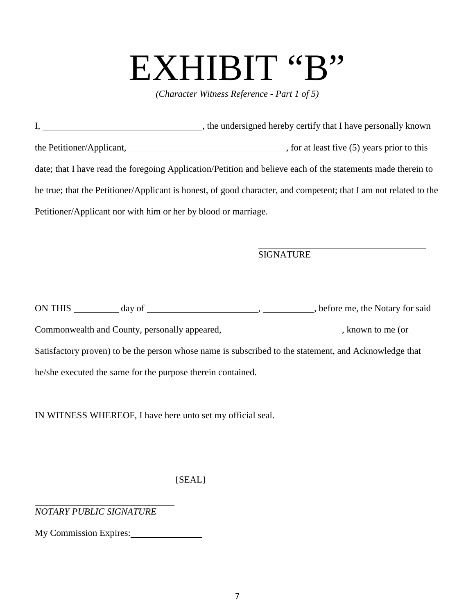*(Character Witness Reference - Part 1 of 5)*

|                                                                | , the undersigned hereby certify that I have personally known                                                                                                                                                                  |
|----------------------------------------------------------------|--------------------------------------------------------------------------------------------------------------------------------------------------------------------------------------------------------------------------------|
|                                                                | the Petitioner/Applicant, the estimate of this contract the estimate of the estimate of the estimate of the estimate of the estimate of the estimate of the estimate of the estimate of the estimate of the estimate of the es |
|                                                                | date; that I have read the foregoing Application/Petition and believe each of the statements made therein to                                                                                                                   |
|                                                                | be true; that the Petitioner/Applicant is honest, of good character, and competent; that I am not related to the                                                                                                               |
| Petitioner/Applicant nor with him or her by blood or marriage. |                                                                                                                                                                                                                                |

#### **SIGNATURE**

| ON THIS<br>day of                                                                                     | , before me, the Notary for said |
|-------------------------------------------------------------------------------------------------------|----------------------------------|
| Commonwealth and County, personally appeared,                                                         | known to me (or                  |
| Satisfactory proven) to be the person whose name is subscribed to the statement, and Acknowledge that |                                  |
| he/she executed the same for the purpose therein contained.                                           |                                  |

IN WITNESS WHEREOF, I have here unto set my official seal.

{SEAL}

*NOTARY PUBLIC SIGNATURE*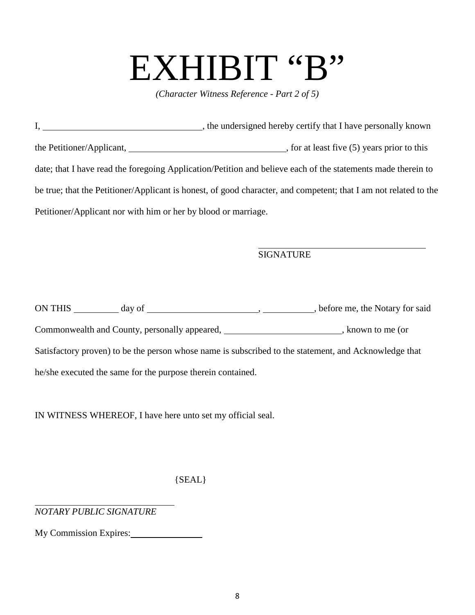*(Character Witness Reference - Part 2 of 5)*

|                                                                | , the undersigned hereby certify that I have personally known                                                                                                                                                                  |
|----------------------------------------------------------------|--------------------------------------------------------------------------------------------------------------------------------------------------------------------------------------------------------------------------------|
|                                                                | the Petitioner/Applicant, the estimate of this contract the estimate of the estimate of the estimate of the estimate of the estimate of the estimate of the estimate of the estimate of the estimate of the estimate of the es |
|                                                                | date; that I have read the foregoing Application/Petition and believe each of the statements made therein to                                                                                                                   |
|                                                                | be true; that the Petitioner/Applicant is honest, of good character, and competent; that I am not related to the                                                                                                               |
| Petitioner/Applicant nor with him or her by blood or marriage. |                                                                                                                                                                                                                                |

#### **SIGNATURE**

| ON THIS<br>day of                                                                                     | , before me, the Notary for said |
|-------------------------------------------------------------------------------------------------------|----------------------------------|
| Commonwealth and County, personally appeared,                                                         | known to me (or                  |
| Satisfactory proven) to be the person whose name is subscribed to the statement, and Acknowledge that |                                  |
| he/she executed the same for the purpose therein contained.                                           |                                  |

IN WITNESS WHEREOF, I have here unto set my official seal.

{SEAL}

*NOTARY PUBLIC SIGNATURE*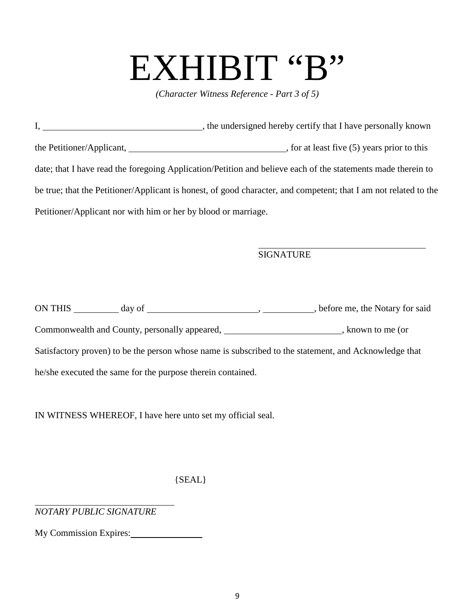*(Character Witness Reference - Part 3 of 5)*

|                                                                | , the undersigned hereby certify that I have personally known                                                    |  |
|----------------------------------------------------------------|------------------------------------------------------------------------------------------------------------------|--|
|                                                                | $\overline{\phantom{a}}$ , for at least five (5) years prior to this                                             |  |
|                                                                | date; that I have read the foregoing Application/Petition and believe each of the statements made therein to     |  |
|                                                                | be true; that the Petitioner/Applicant is honest, of good character, and competent; that I am not related to the |  |
| Petitioner/Applicant nor with him or her by blood or marriage. |                                                                                                                  |  |

#### **SIGNATURE**

| ON THIS<br>day of                                                                                     | , before me, the Notary for said |
|-------------------------------------------------------------------------------------------------------|----------------------------------|
| Commonwealth and County, personally appeared,                                                         | known to me (or                  |
| Satisfactory proven) to be the person whose name is subscribed to the statement, and Acknowledge that |                                  |
| he/she executed the same for the purpose therein contained.                                           |                                  |

IN WITNESS WHEREOF, I have here unto set my official seal.

{SEAL}

*NOTARY PUBLIC SIGNATURE*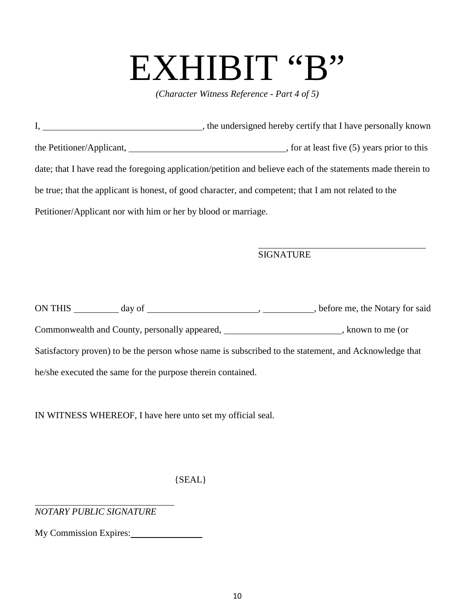*(Character Witness Reference - Part 4 of 5)*

|                                                                | , the undersigned hereby certify that I have personally known                                                |
|----------------------------------------------------------------|--------------------------------------------------------------------------------------------------------------|
|                                                                | , for at least five (5) years prior to this                                                                  |
|                                                                | date; that I have read the foregoing application/petition and believe each of the statements made therein to |
|                                                                | be true; that the applicant is honest, of good character, and competent; that I am not related to the        |
| Petitioner/Applicant nor with him or her by blood or marriage. |                                                                                                              |

#### **SIGNATURE**

| ON THIS<br>day of                                                                                     | , before me, the Notary for said |
|-------------------------------------------------------------------------------------------------------|----------------------------------|
| Commonwealth and County, personally appeared,                                                         | known to me (or                  |
| Satisfactory proven) to be the person whose name is subscribed to the statement, and Acknowledge that |                                  |
| he/she executed the same for the purpose therein contained.                                           |                                  |

IN WITNESS WHEREOF, I have here unto set my official seal.

{SEAL}

*NOTARY PUBLIC SIGNATURE*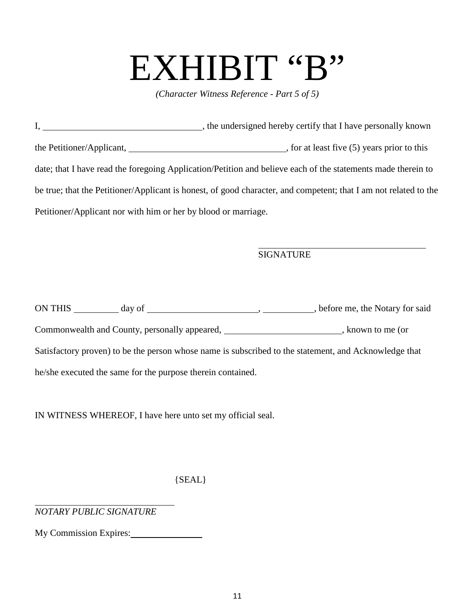*(Character Witness Reference - Part 5 of 5)*

|                                                                | , the undersigned hereby certify that I have personally known                                                    |
|----------------------------------------------------------------|------------------------------------------------------------------------------------------------------------------|
|                                                                | $\overline{\phantom{a}}$ , for at least five (5) years prior to this                                             |
|                                                                | date; that I have read the foregoing Application/Petition and believe each of the statements made therein to     |
|                                                                | be true; that the Petitioner/Applicant is honest, of good character, and competent; that I am not related to the |
| Petitioner/Applicant nor with him or her by blood or marriage. |                                                                                                                  |

#### **SIGNATURE**

| ON THIS<br>day of                                                                                     | , before me, the Notary for said |
|-------------------------------------------------------------------------------------------------------|----------------------------------|
| Commonwealth and County, personally appeared,                                                         | known to me (or                  |
| Satisfactory proven) to be the person whose name is subscribed to the statement, and Acknowledge that |                                  |
| he/she executed the same for the purpose therein contained.                                           |                                  |

IN WITNESS WHEREOF, I have here unto set my official seal.

{SEAL}

*NOTARY PUBLIC SIGNATURE*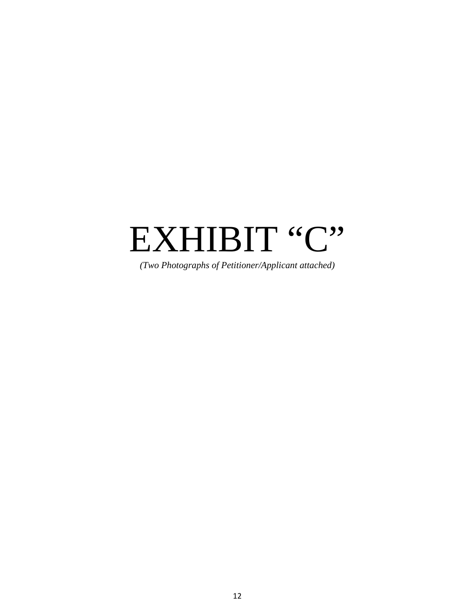*(Two Photographs of Petitioner/Applicant attached)*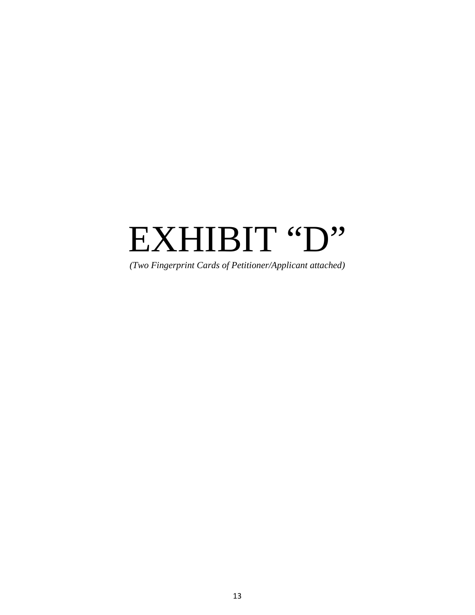*(Two Fingerprint Cards of Petitioner/Applicant attached)*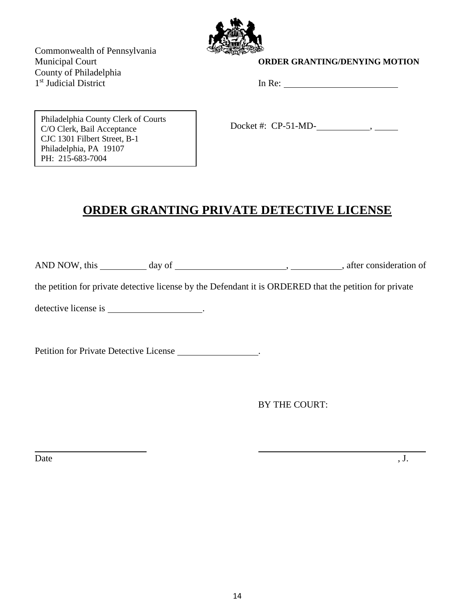

Commonwealth of Pennsylvania County of Philadelphia 1<sup>st</sup> Judicial District In Re: 1992 In Re: 1993

#### **Municipal Court COURDER GRANTING/DENYING MOTION**

Philadelphia County Clerk of Courts C/O Clerk, Bail Acceptance CJC 1301 Filbert Street, B-1 Philadelphia, PA 19107 PH: 215-683-7004

Docket #: CP-51-MD- ,

### **ORDER GRANTING PRIVATE DETECTIVE LICENSE**

AND NOW, this day of day of , after consideration of

the petition for private detective license by the Defendant it is ORDERED that the petition for private

detective license is .

Petition for Private Detective License \_\_\_\_\_\_\_\_\_\_\_\_\_\_\_\_.

BY THE COURT:

Date  $, J.$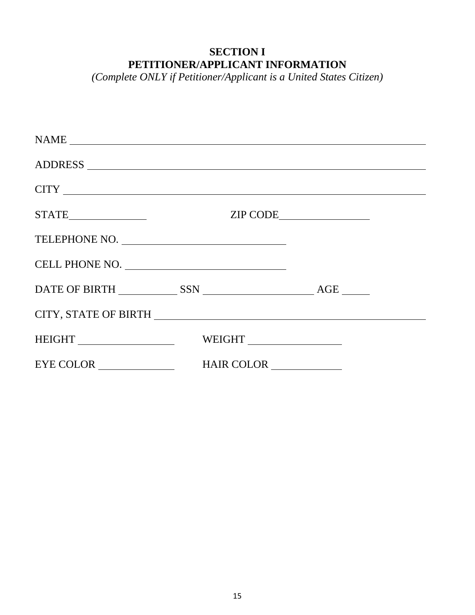### **SECTION I PETITIONER/APPLICANT INFORMATION**

*(Complete ONLY if Petitioner/Applicant is a United States Citizen)*

| $\mathbf{NAME} \underline{\hspace{1cm}}$ |        |  |
|------------------------------------------|--------|--|
|                                          |        |  |
|                                          |        |  |
|                                          |        |  |
| TELEPHONE NO.                            |        |  |
| CELL PHONE NO.                           |        |  |
|                                          |        |  |
|                                          |        |  |
|                                          | WEIGHT |  |
|                                          |        |  |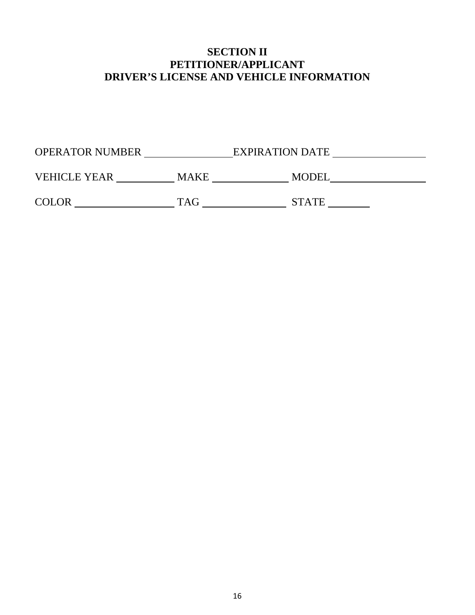#### **SECTION II PETITIONER/APPLICANT DRIVER'S LICENSE AND VEHICLE INFORMATION**

| <b>OPERATOR NUMBER</b> | <b>EXPIRATION DATE</b> |  |
|------------------------|------------------------|--|
|                        |                        |  |

|  | <b>VEHICLE YEAR</b> |  | . <i>.</i> . <del>. .</del> .<br>M' |  |
|--|---------------------|--|-------------------------------------|--|
|--|---------------------|--|-------------------------------------|--|

 $\text{COLOR}$   $\text{TAG}$   $\text{STATE}$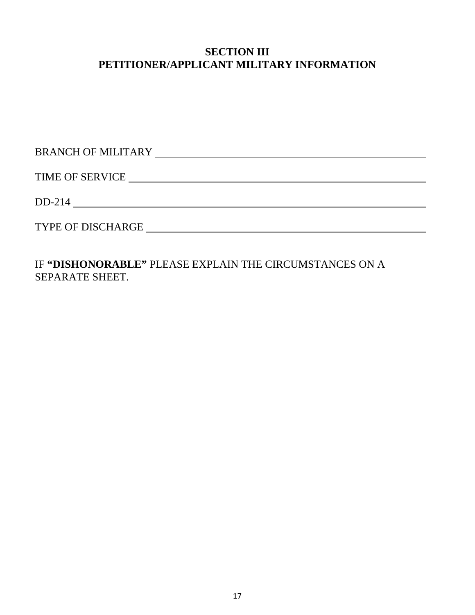#### **SECTION III PETITIONER/APPLICANT MILITARY INFORMATION**

| <b>BRANCH OF MILITARY</b> |
|---------------------------|
| <b>TIME OF SERVICE</b>    |
| $DD-214$                  |
| <b>TYPE OF DISCHARGE</b>  |

IF **"DISHONORABLE"** PLEASE EXPLAIN THE CIRCUMSTANCES ON A SEPARATE SHEET.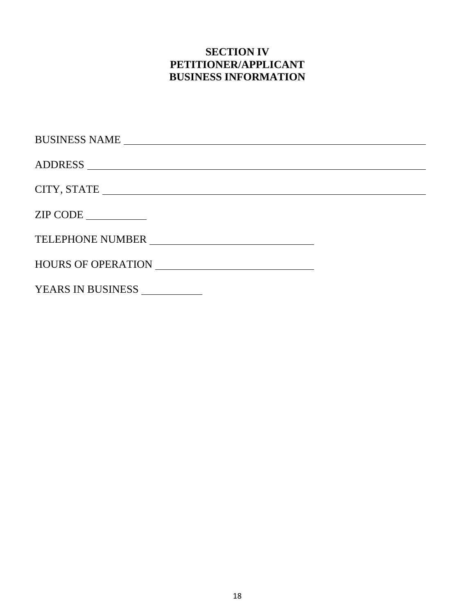### **SECTION IV PETITIONER/APPLICANT BUSINESS INFORMATION**

| BUSINESS NAME     |  |
|-------------------|--|
|                   |  |
|                   |  |
| ZIP CODE          |  |
| TELEPHONE NUMBER  |  |
|                   |  |
| YEARS IN BUSINESS |  |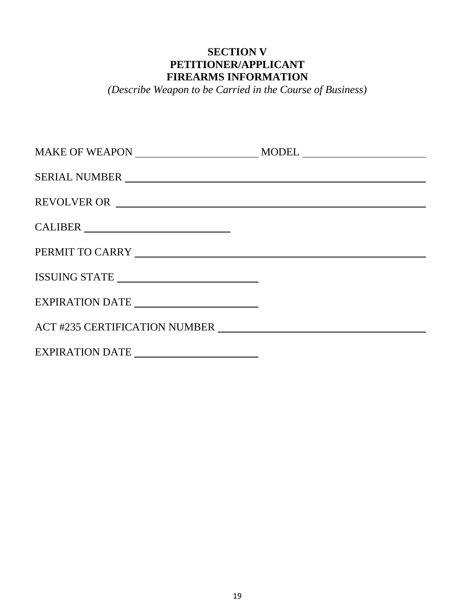#### **SECTION V PETITIONER/APPLICANT FIREARMS INFORMATION**

*(Describe Weapon to be Carried in the Course of Business)*

|                                         | $\text{MODEL} \xrightarrow{\qquad \qquad }$ |
|-----------------------------------------|---------------------------------------------|
| SERIAL NUMBER                           |                                             |
| REVOLVER OR                             |                                             |
| CALIBER                                 |                                             |
|                                         |                                             |
|                                         |                                             |
| EXPIRATION DATE _______________________ |                                             |
|                                         |                                             |
| EXPIRATION DATE _______________________ |                                             |